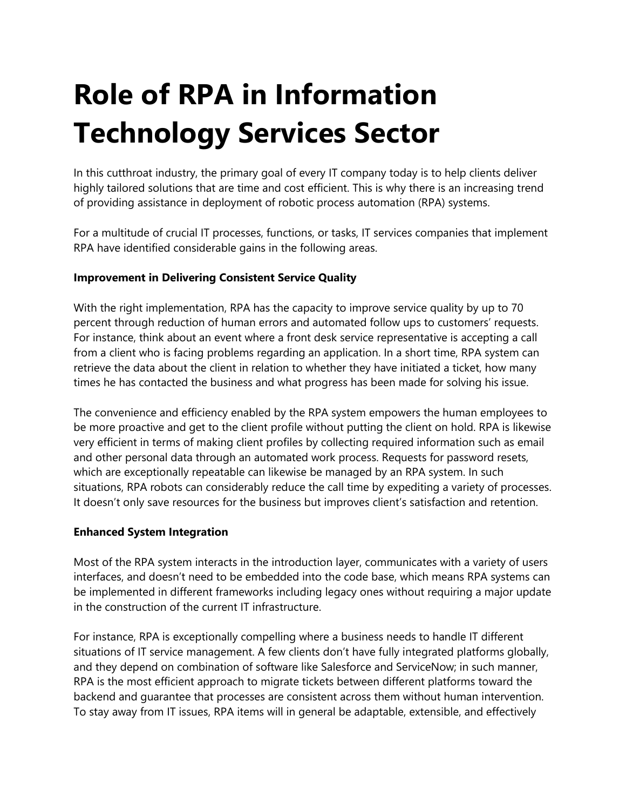## **Role of RPA in Information Technology Services Sector**

In this cutthroat industry, the primary goal of every IT company today is to help clients deliver highly tailored solutions that are time and cost efficient. This is why there is an increasing trend of providing assistance in deployment of robotic process automation (RPA) systems.

For a multitude of crucial IT processes, functions, or tasks, IT services companies that implement RPA have identified considerable gains in the following areas.

## **Improvement in Delivering Consistent Service Quality**

With the right implementation, RPA has the capacity to improve service quality by up to 70 percent through reduction of human errors and automated follow ups to customers' requests. For instance, think about an event where a front desk service representative is accepting a call from a client who is facing problems regarding an application. In a short time, RPA system can retrieve the data about the client in relation to whether they have initiated a ticket, how many times he has contacted the business and what progress has been made for solving his issue.

The convenience and efficiency enabled by the RPA system empowers the human employees to be more proactive and get to the client profile without putting the client on hold. RPA is likewise very efficient in terms of making client profiles by collecting required information such as email and other personal data through an automated work process. Requests for password resets, which are exceptionally repeatable can likewise be managed by an RPA system. In such situations, RPA robots can considerably reduce the call time by expediting a variety of processes. It doesn't only save resources for the business but improves client's satisfaction and retention.

## **Enhanced System Integration**

Most of the RPA system interacts in the introduction layer, communicates with a variety of users interfaces, and doesn't need to be embedded into the code base, which means RPA systems can be implemented in different frameworks including legacy ones without requiring a major update in the construction of the current IT infrastructure.

For instance, RPA is exceptionally compelling where a business needs to handle IT different situations of IT service management. A few clients don't have fully integrated platforms globally, and they depend on combination of software like Salesforce and ServiceNow; in such manner, RPA is the most efficient approach to migrate tickets between different platforms toward the backend and guarantee that processes are consistent across them without human intervention. To stay away from IT issues, RPA items will in general be adaptable, extensible, and effectively